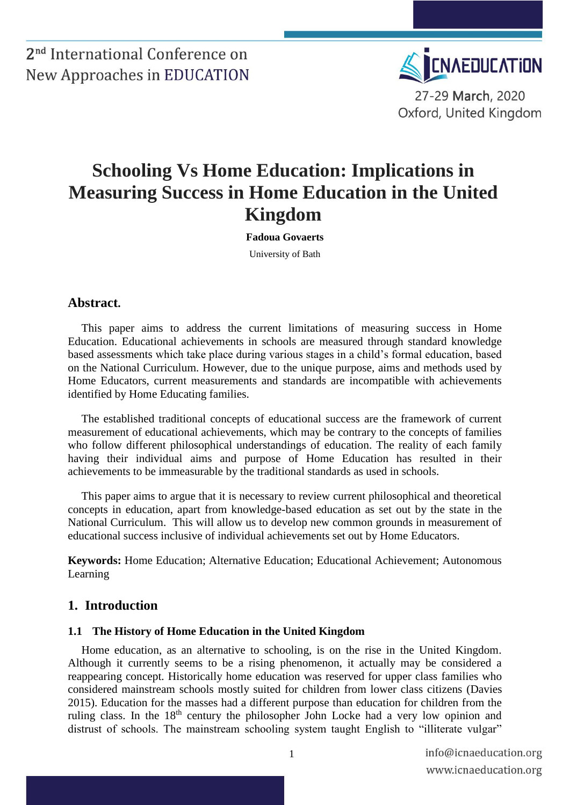

## **Schooling Vs Home Education: Implications in Measuring Success in Home Education in the United Kingdom**

**Fadoua Govaerts** University of Bath

#### **Abstract.**

This paper aims to address the current limitations of measuring success in Home Education. Educational achievements in schools are measured through standard knowledge based assessments which take place during various stages in a child's formal education, based on the National Curriculum. However, due to the unique purpose, aims and methods used by Home Educators, current measurements and standards are incompatible with achievements identified by Home Educating families.

The established traditional concepts of educational success are the framework of current measurement of educational achievements, which may be contrary to the concepts of families who follow different philosophical understandings of education. The reality of each family having their individual aims and purpose of Home Education has resulted in their achievements to be immeasurable by the traditional standards as used in schools.

This paper aims to argue that it is necessary to review current philosophical and theoretical concepts in education, apart from knowledge-based education as set out by the state in the National Curriculum. This will allow us to develop new common grounds in measurement of educational success inclusive of individual achievements set out by Home Educators.

**Keywords:** Home Education; Alternative Education; Educational Achievement; Autonomous Learning

#### **1. Introduction**

#### **1.1 The History of Home Education in the United Kingdom**

Home education, as an alternative to schooling, is on the rise in the United Kingdom. Although it currently seems to be a rising phenomenon, it actually may be considered a reappearing concept. Historically home education was reserved for upper class families who considered mainstream schools mostly suited for children from lower class citizens [\(Davies](#page-5-0)  [2015\)](#page-5-0). Education for the masses had a different purpose than education for children from the ruling class. In the 18<sup>th</sup> century the philosopher John Locke had a very low opinion and distrust of schools. The mainstream schooling system taught English to "illiterate vulgar"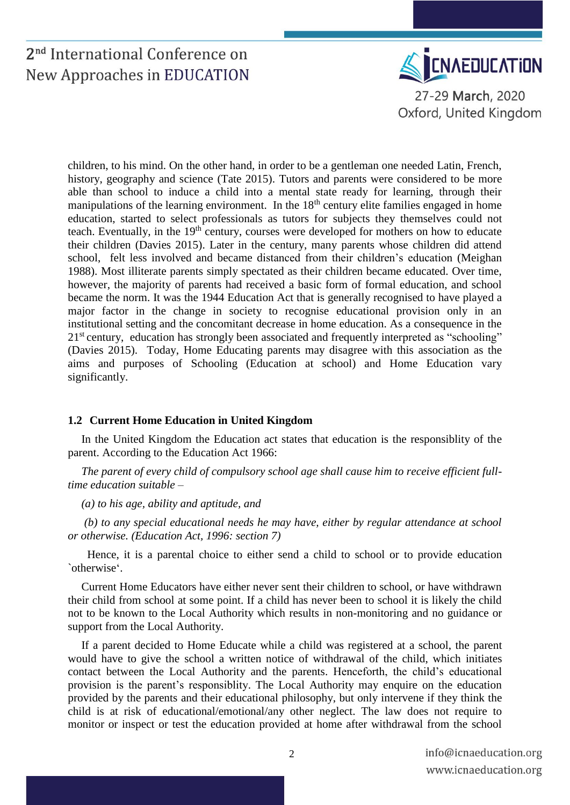

children, to his mind. On the other hand, in order to be a gentleman one needed Latin, French, history, geography and science [\(Tate 2015\)](#page-7-0). Tutors and parents were considered to be more able than school to induce a child into a mental state ready for learning, through their manipulations of the learning environment. In the  $18<sup>th</sup>$  century elite families engaged in home education, started to select professionals as tutors for subjects they themselves could not teach. Eventually, in the 19<sup>th</sup> century, courses were developed for mothers on how to educate their children [\(Davies 2015\)](#page-5-0). Later in the century, many parents whose children did attend school, felt less involved and became distanced from their children's education [\(Meighan](#page-5-1)  [1988\)](#page-5-1). Most illiterate parents simply spectated as their children became educated. Over time, however, the majority of parents had received a basic form of formal education, and school became the norm. It was the 1944 Education Act that is generally recognised to have played a major factor in the change in society to recognise educational provision only in an institutional setting and the concomitant decrease in home education. As a consequence in the 21<sup>st</sup> century, education has strongly been associated and frequently interpreted as "schooling" [\(Davies 2015\)](#page-5-0). Today, Home Educating parents may disagree with this association as the aims and purposes of Schooling (Education at school) and Home Education vary significantly.

#### **1.2 Current Home Education in United Kingdom**

In the United Kingdom the Education act states that education is the responsiblity of the parent. According to the Education Act 1966:

*The parent of every child of compulsory school age shall cause him to receive efficient fulltime education suitable –*

*(a) to his age, ability and aptitude, and*

*(b) to any special educational needs he may have, either by regular attendance at school or otherwise. (Education Act, 1996: section 7)*

 Hence, it is a parental choice to either send a child to school or to provide education `otherwise'.

Current Home Educators have either never sent their children to school, or have withdrawn their child from school at some point. If a child has never been to school it is likely the child not to be known to the Local Authority which results in non-monitoring and no guidance or support from the Local Authority.

If a parent decided to Home Educate while a child was registered at a school, the parent would have to give the school a written notice of withdrawal of the child, which initiates contact between the Local Authority and the parents. Henceforth, the child's educational provision is the parent's responsiblity. The Local Authority may enquire on the education provided by the parents and their educational philosophy, but only intervene if they think the child is at risk of educational/emotional/any other neglect. The law does not require to monitor or inspect or test the education provided at home after withdrawal from the school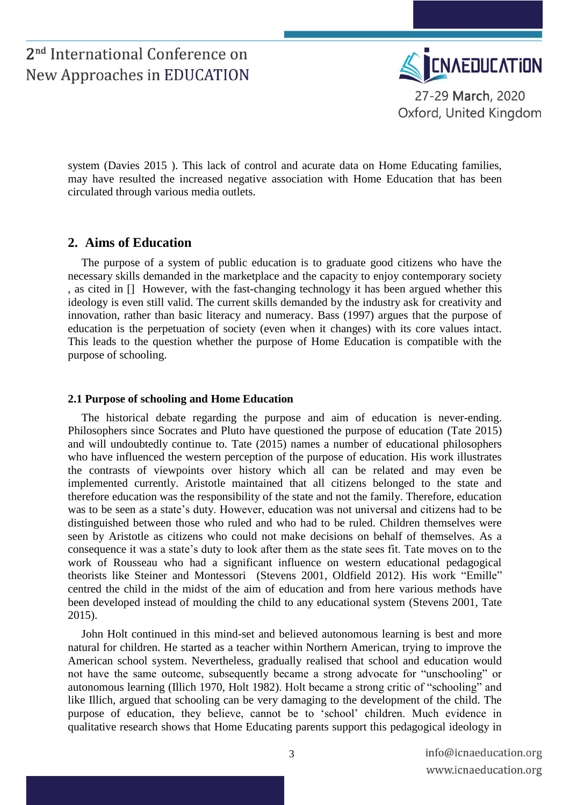

system [\(Davies 2015 \)](#page-5-2). This lack of control and acurate data on Home Educating families, may have resulted the increased negative association with Home Education that has been circulated through various media outlets.

### **2. Aims of Education**

The purpose of a system of public education is to graduate good citizens who have the necessary skills demanded in the marketplace and the capacity to enjoy contemporary society , as cited in [] However, with the fast-changing technology it has been argued whether this ideology is even still valid. The current skills demanded by the industry ask for creativity and innovation, rather than basic literacy and numeracy. Bass (1997) argues that the purpose of education is the perpetuation of society (even when it changes) with its core values intact. This leads to the question whether the purpose of Home Education is compatible with the purpose of schooling.

#### **2.1 Purpose of schooling and Home Education**

The historical debate regarding the purpose and aim of education is never-ending. Philosophers since Socrates and Pluto have questioned the purpose of education [\(Tate 2015\)](#page-7-0) and will undoubtedly continue to. Tate (2015) names a number of educational philosophers who have influenced the western perception of the purpose of education. His work illustrates the contrasts of viewpoints over history which all can be related and may even be implemented currently. Aristotle maintained that all citizens belonged to the state and therefore education was the responsibility of the state and not the family. Therefore, education was to be seen as a state's duty. However, education was not universal and citizens had to be distinguished between those who ruled and who had to be ruled. Children themselves were seen by Aristotle as citizens who could not make decisions on behalf of themselves. As a consequence it was a state's duty to look after them as the state sees fit. Tate moves on to the work of Rousseau who had a significant influence on western educational pedagogical theorists like Steiner and Montessori [\(Stevens 2001,](#page-7-1) [Oldfield 2012\)](#page-6-0). His work "Emille" centred the child in the midst of the aim of education and from here various methods have been developed instead of moulding the child to any educational system [\(Stevens 2001,](#page-7-1) [Tate](#page-7-0)  [2015\)](#page-7-0).

John Holt continued in this mind-set and believed autonomous learning is best and more natural for children. He started as a teacher within Northern American, trying to improve the American school system. Nevertheless, gradually realised that school and education would not have the same outcome, subsequently became a strong advocate for "unschooling" or autonomous learning [\(Illich 1970,](#page-5-3) [Holt 1982\)](#page-5-4). Holt became a strong critic of "schooling" and like Illich, argued that schooling can be very damaging to the development of the child. The purpose of education, they believe, cannot be to 'school' children. Much evidence in qualitative research shows that Home Educating parents support this pedagogical ideology in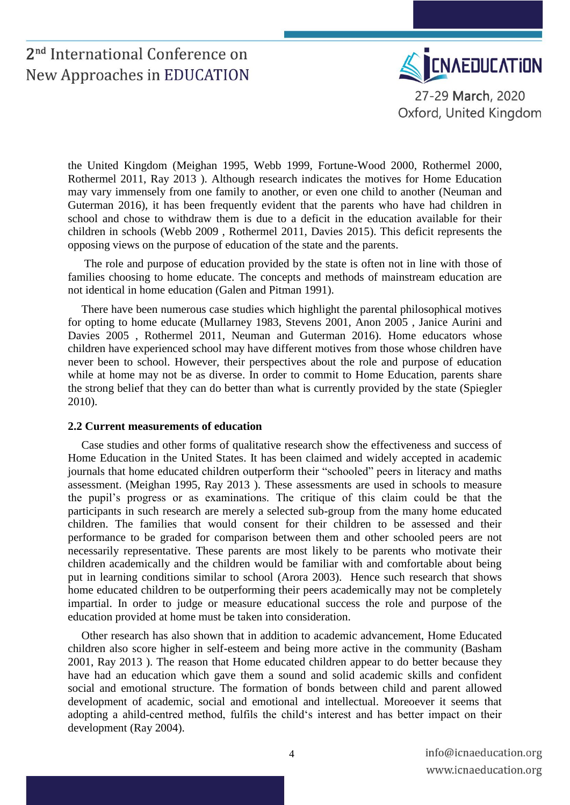

the United Kingdom [\(Meighan 1995,](#page-6-1) [Webb 1999,](#page-7-2) [Fortune-Wood 2000,](#page-5-5) [Rothermel 2000,](#page-6-2) [Rothermel 2011,](#page-6-3) [Ray 2013 \)](#page-6-4). Although research indicates the motives for Home Education may vary immensely from one family to another, or even one child to another [\(Neuman and](#page-6-5)  [Guterman 2016\)](#page-6-5), it has been frequently evident that the parents who have had children in school and chose to withdraw them is due to a deficit in the education available for their children in schools [\(Webb 2009 ,](#page-7-3) [Rothermel 2011,](#page-6-3) [Davies 2015\)](#page-5-0). This deficit represents the opposing views on the purpose of education of the state and the parents.

The role and purpose of education provided by the state is often not in line with those of families choosing to home educate. The concepts and methods of mainstream education are not identical in home education [\(Galen and Pitman 1991\)](#page-5-6).

There have been numerous case studies which highlight the parental philosophical motives for opting to home educate [\(Mullarney 1983,](#page-6-6) [Stevens 2001,](#page-7-1) [Anon 2005 ,](#page-4-0) [Janice Aurini and](#page-5-7)  [Davies 2005 ,](#page-5-7) [Rothermel 2011,](#page-6-3) [Neuman and Guterman 2016\)](#page-6-5). Home educators whose children have experienced school may have different motives from those whose children have never been to school. However, their perspectives about the role and purpose of education while at home may not be as diverse. In order to commit to Home Education, parents share the strong belief that they can do better than what is currently provided by the state [\(Spiegler](#page-6-7)  [2010\)](#page-6-7).

#### **2.2 Current measurements of education**

Case studies and other forms of qualitative research show the effectiveness and success of Home Education in the United States. It has been claimed and widely accepted in academic journals that home educated children outperform their "schooled" peers in literacy and maths assessment. [\(Meighan 1995,](#page-6-1) [Ray 2013 \)](#page-6-4). These assessments are used in schools to measure the pupil's progress or as examinations. The critique of this claim could be that the participants in such research are merely a selected sub-group from the many home educated children. The families that would consent for their children to be assessed and their performance to be graded for comparison between them and other schooled peers are not necessarily representative. These parents are most likely to be parents who motivate their children academically and the children would be familiar with and comfortable about being put in learning conditions similar to school [\(Arora 2003\)](#page-5-8). Hence such research that shows home educated children to be outperforming their peers academically may not be completely impartial. In order to judge or measure educational success the role and purpose of the education provided at home must be taken into consideration.

Other research has also shown that in addition to academic advancement, Home Educated children also score higher in self-esteem and being more active in the community [\(Basham](#page-5-9)  [2001,](#page-5-9) [Ray 2013 \)](#page-6-4). The reason that Home educated children appear to do better because they have had an education which gave them a sound and solid academic skills and confident social and emotional structure. The formation of bonds between child and parent allowed development of academic, social and emotional and intellectual. Moreoever it seems that adopting a ahild-centred method, fulfils the child's interest and has better impact on their development [\(Ray 2004\)](#page-6-8).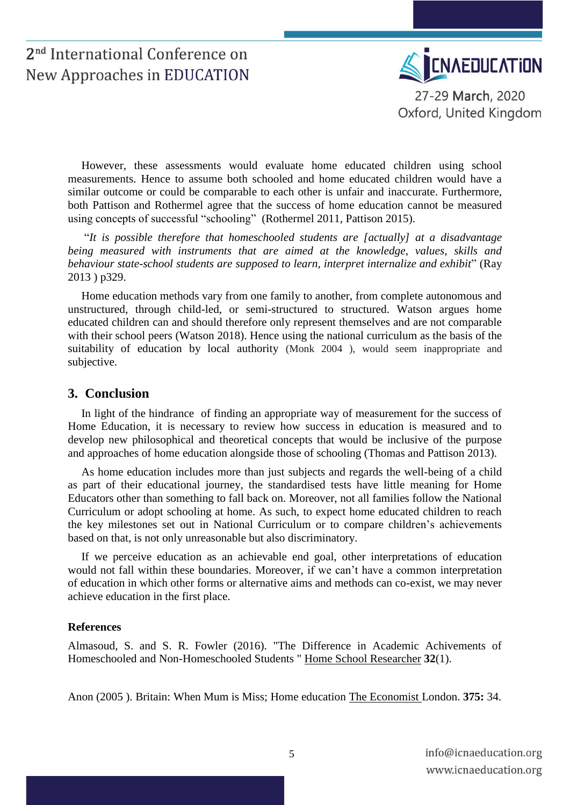

However, these assessments would evaluate home educated children using school measurements. Hence to assume both schooled and home educated children would have a similar outcome or could be comparable to each other is unfair and inaccurate. Furthermore, both Pattison and Rothermel agree that the success of home education cannot be measured using concepts of successful "schooling" [\(Rothermel 2011,](#page-6-3) [Pattison 2015\)](#page-6-9).

"*It is possible therefore that homeschooled students are [actually] at a disadvantage being measured with instruments that are aimed at the knowledge, values, skills and behaviour state-school students are supposed to learn, interpret internalize and exhibit*" [\(Ray](#page-6-4)  [2013 \)](#page-6-4) p329.

Home education methods vary from one family to another, from complete autonomous and unstructured, through child-led, or semi-structured to structured. Watson argues home educated children can and should therefore only represent themselves and are not comparable with their school peers [\(Watson 2018\)](#page-7-4). Hence using the national curriculum as the basis of the suitability of education by local authority [\(Monk](#page-6-10) 2004 ), would seem inappropriate and subjective.

#### **3. Conclusion**

In light of the hindrance of finding an appropriate way of measurement for the success of Home Education, it is necessary to review how success in education is measured and to develop new philosophical and theoretical concepts that would be inclusive of the purpose and approaches of home education alongside those of schooling [\(Thomas and Pattison 2013\)](#page-7-5).

As home education includes more than just subjects and regards the well-being of a child as part of their educational journey, the standardised tests have little meaning for Home Educators other than something to fall back on. Moreover, not all families follow the National Curriculum or adopt schooling at home. As such, to expect home educated children to reach the key milestones set out in National Curriculum or to compare children's achievements based on that, is not only unreasonable but also discriminatory.

If we perceive education as an achievable end goal, other interpretations of education would not fall within these boundaries. Moreover, if we can't have a common interpretation of education in which other forms or alternative aims and methods can co-exist, we may never achieve education in the first place.

#### **References**

Almasoud, S. and S. R. Fowler (2016). "The Difference in Academic Achivements of Homeschooled and Non-Homeschooled Students " Home School Researcher **32**(1).

<span id="page-4-0"></span>Anon (2005 ). Britain: When Mum is Miss; Home education The Economist London. **375:** 34.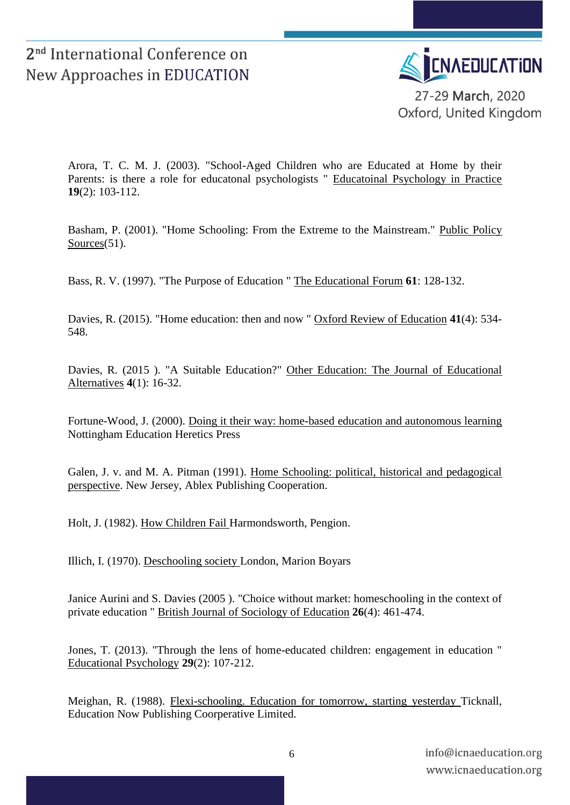

Oxford, United Kingdom

<span id="page-5-8"></span>Arora, T. C. M. J. (2003). "School-Aged Children who are Educated at Home by their Parents: is there a role for educatonal psychologists " Educatoinal Psychology in Practice **19**(2): 103-112.

<span id="page-5-9"></span>Basham, P. (2001). "Home Schooling: From the Extreme to the Mainstream." Public Policy Sources(51).

Bass, R. V. (1997). "The Purpose of Education " The Educational Forum **61**: 128-132.

<span id="page-5-0"></span>Davies, R. (2015). "Home education: then and now " Oxford Review of Education **41**(4): 534- 548.

<span id="page-5-2"></span>Davies, R. (2015 ). "A Suitable Education?" Other Education: The Journal of Educational Alternatives **4**(1): 16-32.

<span id="page-5-5"></span>Fortune-Wood, J. (2000). Doing it their way: home-based education and autonomous learning Nottingham Education Heretics Press

<span id="page-5-6"></span>Galen, J. v. and M. A. Pitman (1991). Home Schooling: political, historical and pedagogical perspective. New Jersey, Ablex Publishing Cooperation.

<span id="page-5-4"></span>Holt, J. (1982). How Children Fail Harmondsworth, Pengion.

<span id="page-5-3"></span>Illich, I. (1970). Deschooling society London, Marion Boyars

<span id="page-5-7"></span>Janice Aurini and S. Davies (2005 ). "Choice without market: homeschooling in the context of private education " British Journal of Sociology of Education **26**(4): 461-474.

Jones, T. (2013). "Through the lens of home-educated children: engagement in education " Educational Psychology **29**(2): 107-212.

<span id="page-5-1"></span>Meighan, R. (1988). Flexi-schooling. Education for tomorrow, starting yesterday Ticknall, Education Now Publishing Coorperative Limited.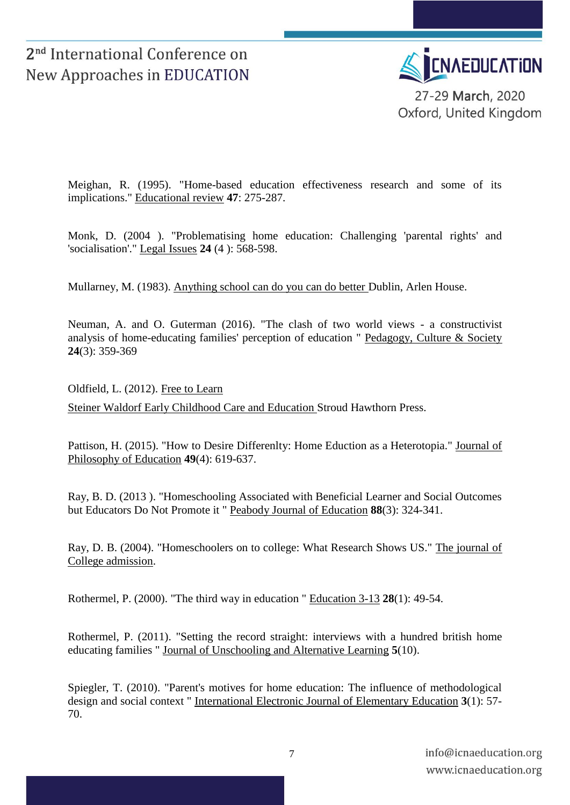

<span id="page-6-1"></span>Meighan, R. (1995). "Home-based education effectiveness research and some of its implications." Educational review **47**: 275-287.

<span id="page-6-10"></span>Monk, D. (2004 ). "Problematising home education: Challenging 'parental rights' and 'socialisation'." Legal Issues **24** (4 ): 568-598.

<span id="page-6-6"></span>Mullarney, M. (1983). Anything school can do you can do better Dublin, Arlen House.

<span id="page-6-5"></span>Neuman, A. and O. Guterman (2016). "The clash of two world views - a constructivist analysis of home-educating families' perception of education " Pedagogy, Culture & Society **24**(3): 359-369

<span id="page-6-0"></span>Oldfield, L. (2012). Free to Learn Steiner Waldorf Early Childhood Care and Education Stroud Hawthorn Press.

<span id="page-6-9"></span>Pattison, H. (2015). "How to Desire Differenlty: Home Eduction as a Heterotopia." Journal of Philosophy of Education **49**(4): 619-637.

<span id="page-6-4"></span>Ray, B. D. (2013 ). "Homeschooling Associated with Beneficial Learner and Social Outcomes but Educators Do Not Promote it " Peabody Journal of Education **88**(3): 324-341.

<span id="page-6-8"></span>Ray, D. B. (2004). "Homeschoolers on to college: What Research Shows US." The journal of College admission.

<span id="page-6-2"></span>Rothermel, P. (2000). "The third way in education " Education 3-13 **28**(1): 49-54.

<span id="page-6-3"></span>Rothermel, P. (2011). "Setting the record straight: interviews with a hundred british home educating families " Journal of Unschooling and Alternative Learning **5**(10).

<span id="page-6-7"></span>Spiegler, T. (2010). "Parent's motives for home education: The influence of methodological design and social context " International Electronic Journal of Elementary Education **3**(1): 57- 70.